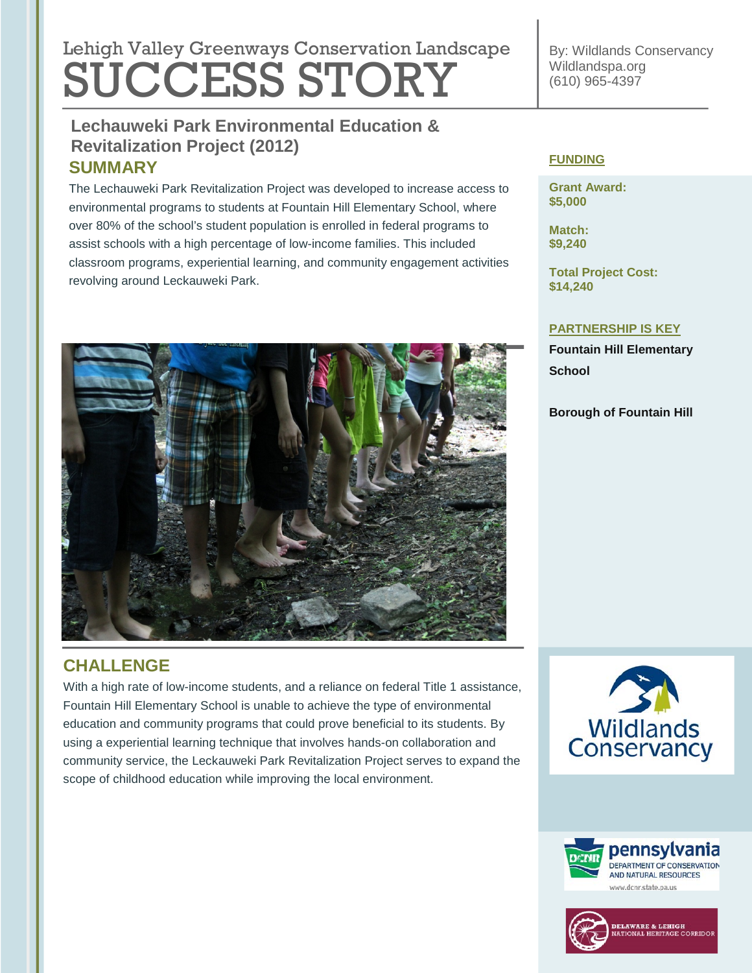# **Lebish Velley Que environmental regulation Lengtheres** Lehigh Valley Greenways Conservation Landscape SUCCESS STORY

## **Lechauweki Park Environmental Education & Tree Revitalization (2011) Revitalization Project (2012) SUMMARY**

The Lechauweki Park Revitalization Project was developed to increase access to environmental programs to students at Fountain Hill Elementary School, where over 80% of the school's student population is enrolled in federal programs to assist schools with a high percentage of low-income families. This included classroom programs, experiential learning, and community engagement activities revolving around Leckauweki Park.



## **CHALLENGE**

With a high rate of low-income students, and a reliance on federal Title 1 assistance, Fountain Hill Elementary School is unable to achieve the type of environmental education and community programs that could prove beneficial to its students. By using a experiential learning technique that involves hands-on collaboration and community service, the Leckauweki Park Revitalization Project serves to expand the scope of childhood education while improving the local environment.

By: Wildlands Conservancy Wildlandspa.org (610) 965-4397

#### **FUNDING**

**Grant Award: \$5,000**

**Match: \$9,240**

**Total Project Cost: \$14,240**

#### **PARTNERSHIP IS KEY**

**Fountain Hill Elementary School**

**Borough of Fountain Hill**